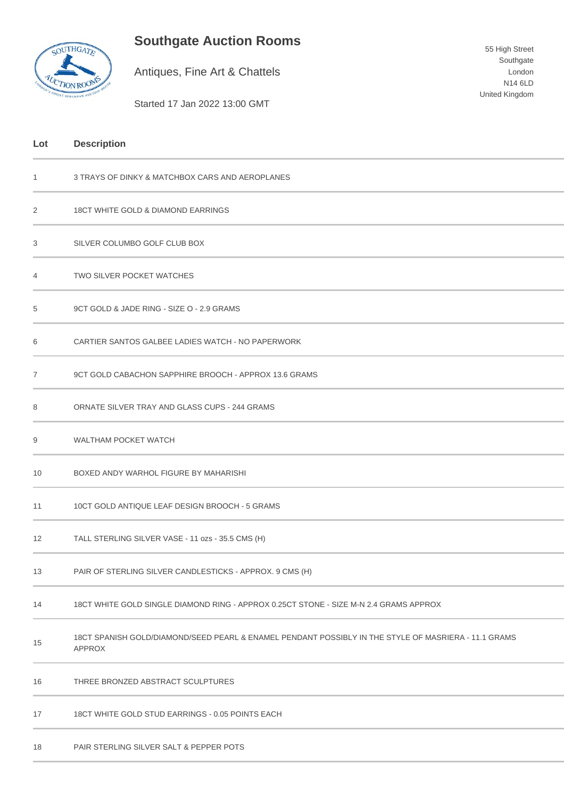## **Southgate Auction Rooms**



Antiques, Fine Art & Chattels

Started 17 Jan 2022 13:00 GMT

## **Lot Description** 1 3 TRAYS OF DINKY & MATCHBOX CARS AND AEROPLANES 2 18CT WHITE GOLD & DIAMOND EARRINGS 3 SILVER COLUMBO GOLF CLUB BOX 4 TWO SILVER POCKET WATCHES 5 9CT GOLD & JADE RING - SIZE O - 2.9 GRAMS 6 CARTIER SANTOS GALBEE LADIES WATCH - NO PAPERWORK 7 9CT GOLD CABACHON SAPPHIRE BROOCH - APPROX 13.6 GRAMS 8 ORNATE SILVER TRAY AND GLASS CUPS - 244 GRAMS 9 WALTHAM POCKET WATCH 10 BOXED ANDY WARHOL FIGURE BY MAHARISHI 11 10CT GOLD ANTIQUE LEAF DESIGN BROOCH - 5 GRAMS

- 12 TALL STERLING SILVER VASE 11 ozs 35.5 CMS (H)
- 13 PAIR OF STERLING SILVER CANDLESTICKS APPROX. 9 CMS (H)
- 14 18CT WHITE GOLD SINGLE DIAMOND RING APPROX 0.25CT STONE SIZE M-N 2.4 GRAMS APPROX
- 15 18CT SPANISH GOLD/DIAMOND/SEED PEARL & ENAMEL PENDANT POSSIBLY IN THE STYLE OF MASRIERA - 11.1 GRAMS APPROX

16 THREE BRONZED ABSTRACT SCULPTURES

- 17 18CT WHITE GOLD STUD EARRINGS 0.05 POINTS EACH
- 18 PAIR STERLING SILVER SALT & PEPPER POTS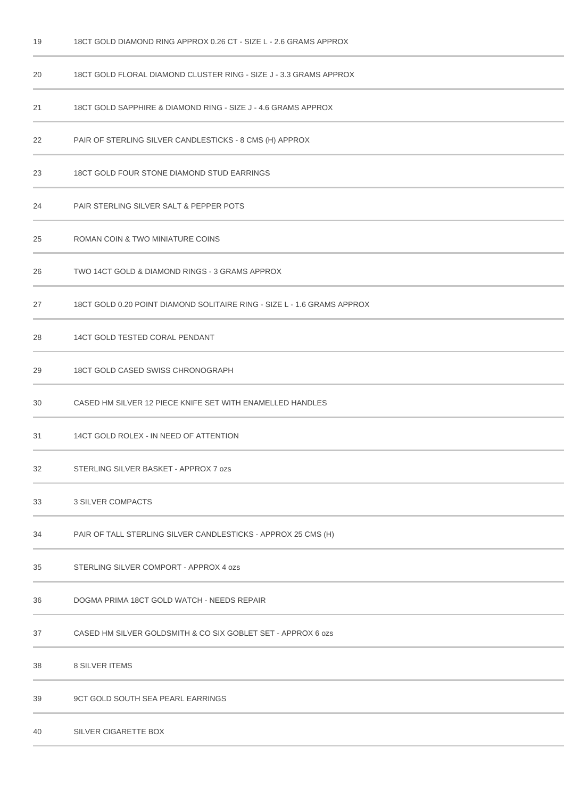20 18CT GOLD FLORAL DIAMOND CLUSTER RING - SIZE J - 3.3 GRAMS APPROX 18CT GOLD SAPPHIRE & DIAMOND RING - SIZE J - 4.6 GRAMS APPROX PAIR OF STERLING SILVER CANDLESTICKS - 8 CMS (H) APPROX 18CT GOLD FOUR STONE DIAMOND STUD EARRINGS PAIR STERLING SILVER SALT & PEPPER POTS ROMAN COIN & TWO MINIATURE COINS TWO 14CT GOLD & DIAMOND RINGS - 3 GRAMS APPROX 27 18CT GOLD 0.20 POINT DIAMOND SOLITAIRE RING - SIZE L - 1.6 GRAMS APPROX 14CT GOLD TESTED CORAL PENDANT 18CT GOLD CASED SWISS CHRONOGRAPH CASED HM SILVER 12 PIECE KNIFE SET WITH ENAMELLED HANDLES 14CT GOLD ROLEX - IN NEED OF ATTENTION STERLING SILVER BASKET - APPROX 7 ozs 3 SILVER COMPACTS PAIR OF TALL STERLING SILVER CANDLESTICKS - APPROX 25 CMS (H) STERLING SILVER COMPORT - APPROX 4 ozs DOGMA PRIMA 18CT GOLD WATCH - NEEDS REPAIR CASED HM SILVER GOLDSMITH & CO SIX GOBLET SET - APPROX 6 ozs 8 SILVER ITEMS 9CT GOLD SOUTH SEA PEARL EARRINGS

18CT GOLD DIAMOND RING APPROX 0.26 CT - SIZE L - 2.6 GRAMS APPROX

SILVER CIGARETTE BOX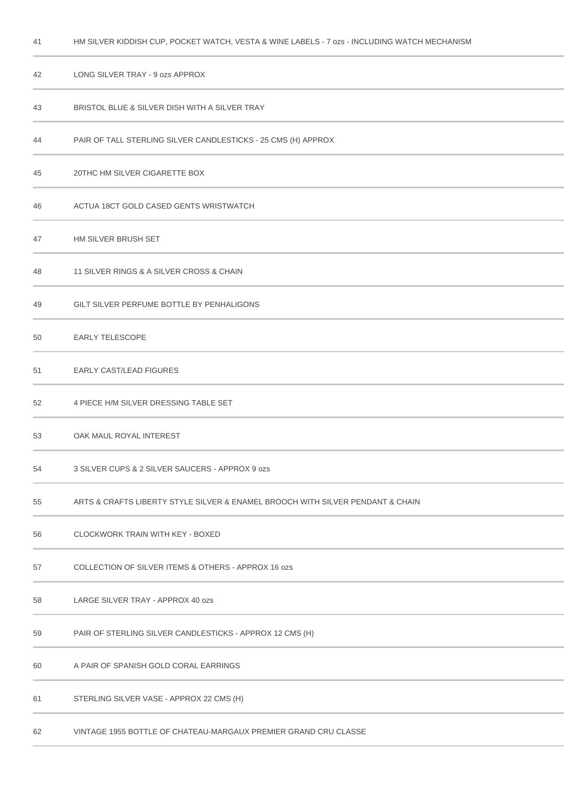| 42 | LONG SILVER TRAY - 9 ozs APPROX                                                |
|----|--------------------------------------------------------------------------------|
| 43 | BRISTOL BLUE & SILVER DISH WITH A SILVER TRAY                                  |
| 44 | PAIR OF TALL STERLING SILVER CANDLESTICKS - 25 CMS (H) APPROX                  |
| 45 | 20THC HM SILVER CIGARETTE BOX                                                  |
| 46 | ACTUA 18CT GOLD CASED GENTS WRISTWATCH                                         |
| 47 | HM SILVER BRUSH SET                                                            |
| 48 | 11 SILVER RINGS & A SILVER CROSS & CHAIN                                       |
| 49 | GILT SILVER PERFUME BOTTLE BY PENHALIGONS                                      |
| 50 | <b>EARLY TELESCOPE</b>                                                         |
| 51 | <b>EARLY CAST/LEAD FIGURES</b>                                                 |
| 52 | 4 PIECE H/M SILVER DRESSING TABLE SET                                          |
| 53 | OAK MAUL ROYAL INTEREST                                                        |
| 54 | 3 SILVER CUPS & 2 SILVER SAUCERS - APPROX 9 ozs                                |
| 55 | ARTS & CRAFTS LIBERTY STYLE SILVER & ENAMEL BROOCH WITH SILVER PENDANT & CHAIN |
| 56 | CLOCKWORK TRAIN WITH KEY - BOXED                                               |
| 57 | COLLECTION OF SILVER ITEMS & OTHERS - APPROX 16 ozs                            |
| 58 | LARGE SILVER TRAY - APPROX 40 ozs                                              |
| 59 | PAIR OF STERLING SILVER CANDLESTICKS - APPROX 12 CMS (H)                       |
| 60 | A PAIR OF SPANISH GOLD CORAL EARRINGS                                          |
| 61 | STERLING SILVER VASE - APPROX 22 CMS (H)                                       |
| 62 | VINTAGE 1955 BOTTLE OF CHATEAU-MARGAUX PREMIER GRAND CRU CLASSE                |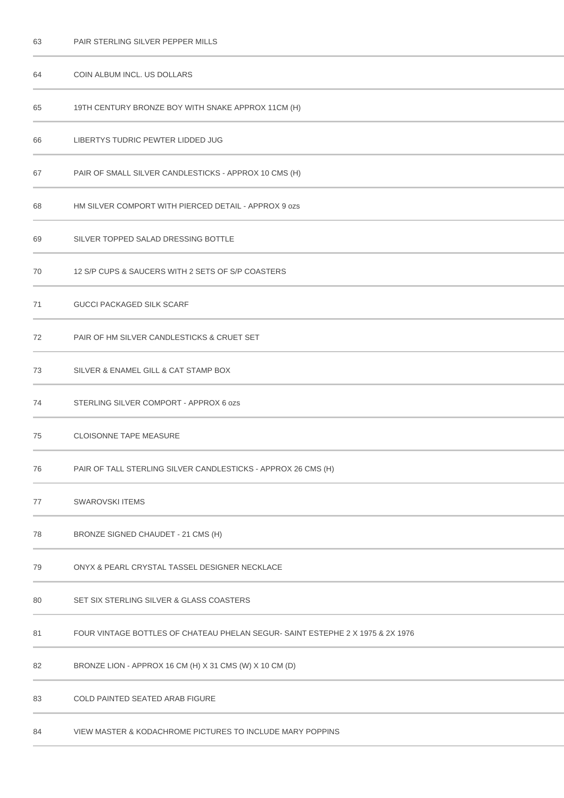| 63 | PAIR STERLING SILVER PEPPER MILLS                                              |
|----|--------------------------------------------------------------------------------|
| 64 | COIN ALBUM INCL. US DOLLARS                                                    |
| 65 | 19TH CENTURY BRONZE BOY WITH SNAKE APPROX 11CM (H)                             |
| 66 | LIBERTYS TUDRIC PEWTER LIDDED JUG                                              |
| 67 | PAIR OF SMALL SILVER CANDLESTICKS - APPROX 10 CMS (H)                          |
| 68 | HM SILVER COMPORT WITH PIERCED DETAIL - APPROX 9 ozs                           |
| 69 | SILVER TOPPED SALAD DRESSING BOTTLE                                            |
| 70 | 12 S/P CUPS & SAUCERS WITH 2 SETS OF S/P COASTERS                              |
| 71 | <b>GUCCI PACKAGED SILK SCARF</b>                                               |
| 72 | PAIR OF HM SILVER CANDLESTICKS & CRUET SET                                     |
| 73 | SILVER & ENAMEL GILL & CAT STAMP BOX                                           |
| 74 | STERLING SILVER COMPORT - APPROX 6 ozs                                         |
| 75 | <b>CLOISONNE TAPE MEASURE</b>                                                  |
| 76 | PAIR OF TALL STERLING SILVER CANDLESTICKS - APPROX 26 CMS (H)                  |
| 77 | <b>SWAROVSKI ITEMS</b>                                                         |
| 78 | BRONZE SIGNED CHAUDET - 21 CMS (H)                                             |
| 79 | ONYX & PEARL CRYSTAL TASSEL DESIGNER NECKLACE                                  |
| 80 | SET SIX STERLING SILVER & GLASS COASTERS                                       |
| 81 | FOUR VINTAGE BOTTLES OF CHATEAU PHELAN SEGUR- SAINT ESTEPHE 2 X 1975 & 2X 1976 |
| 82 | BRONZE LION - APPROX 16 CM (H) X 31 CMS (W) X 10 CM (D)                        |
| 83 | <b>COLD PAINTED SEATED ARAB FIGURE</b>                                         |
| 84 | VIEW MASTER & KODACHROME PICTURES TO INCLUDE MARY POPPINS                      |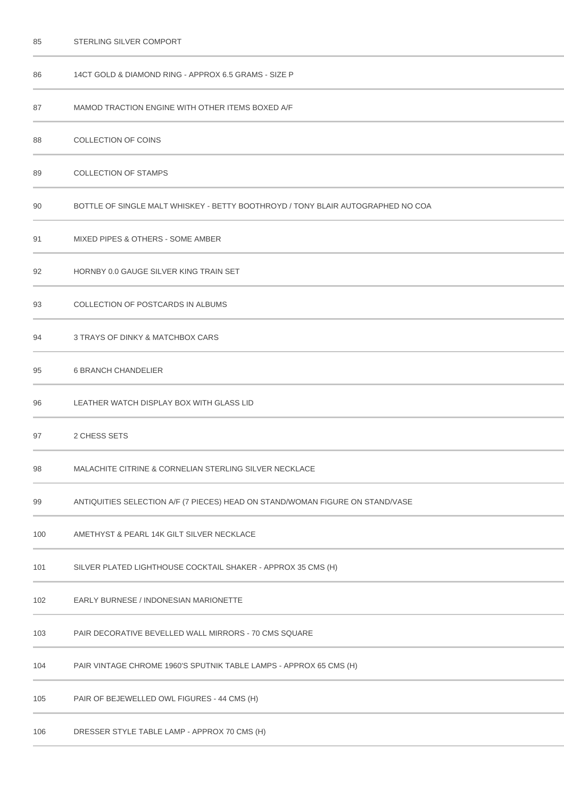| 86  | 14CT GOLD & DIAMOND RING - APPROX 6.5 GRAMS - SIZE P                            |
|-----|---------------------------------------------------------------------------------|
| 87  | MAMOD TRACTION ENGINE WITH OTHER ITEMS BOXED A/F                                |
| 88  | <b>COLLECTION OF COINS</b>                                                      |
| 89  | <b>COLLECTION OF STAMPS</b>                                                     |
| 90  | BOTTLE OF SINGLE MALT WHISKEY - BETTY BOOTHROYD / TONY BLAIR AUTOGRAPHED NO COA |
| 91  | MIXED PIPES & OTHERS - SOME AMBER                                               |
| 92  | HORNBY 0.0 GAUGE SILVER KING TRAIN SET                                          |
| 93  | COLLECTION OF POSTCARDS IN ALBUMS                                               |
| 94  | 3 TRAYS OF DINKY & MATCHBOX CARS                                                |
| 95  | <b>6 BRANCH CHANDELIER</b>                                                      |
| 96  | LEATHER WATCH DISPLAY BOX WITH GLASS LID                                        |
| 97  | 2 CHESS SETS                                                                    |
| 98  | <b>MALACHITE CITRINE &amp; CORNELIAN STERLING SILVER NECKLACE</b>               |
| 99  | ANTIQUITIES SELECTION A/F (7 PIECES) HEAD ON STAND/WOMAN FIGURE ON STAND/VASE   |
| 100 | AMETHYST & PEARL 14K GILT SILVER NECKLACE                                       |
| 101 | SILVER PLATED LIGHTHOUSE COCKTAIL SHAKER - APPROX 35 CMS (H)                    |
| 102 | EARLY BURNESE / INDONESIAN MARIONETTE                                           |
| 103 | PAIR DECORATIVE BEVELLED WALL MIRRORS - 70 CMS SQUARE                           |
| 104 | PAIR VINTAGE CHROME 1960'S SPUTNIK TABLE LAMPS - APPROX 65 CMS (H)              |
| 105 | PAIR OF BEJEWELLED OWL FIGURES - 44 CMS (H)                                     |
| 106 | DRESSER STYLE TABLE LAMP - APPROX 70 CMS (H)                                    |

STERLING SILVER COMPORT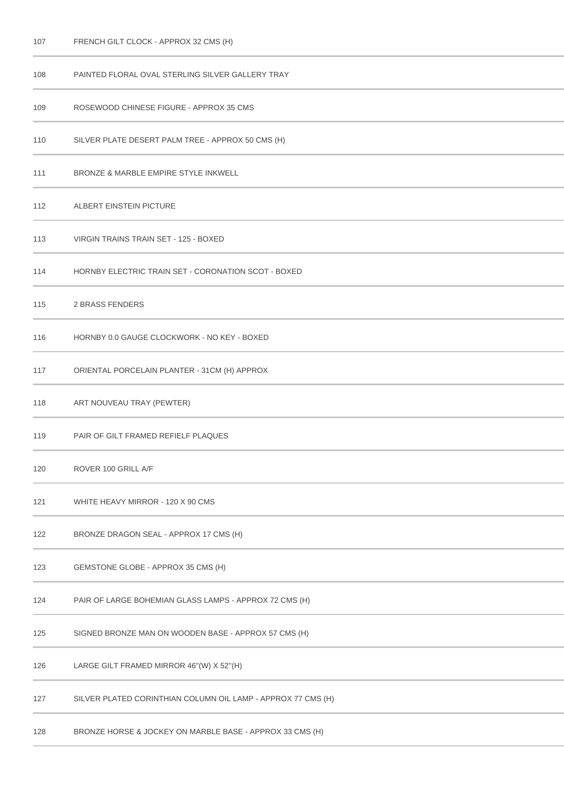| 108 | PAINTED FLORAL OVAL STERLING SILVER GALLERY TRAY             |
|-----|--------------------------------------------------------------|
| 109 | ROSEWOOD CHINESE FIGURE - APPROX 35 CMS                      |
| 110 | SILVER PLATE DESERT PALM TREE - APPROX 50 CMS (H)            |
| 111 | <b>BRONZE &amp; MARBLE EMPIRE STYLE INKWELL</b>              |
| 112 | ALBERT EINSTEIN PICTURE                                      |
| 113 | VIRGIN TRAINS TRAIN SET - 125 - BOXED                        |
| 114 | HORNBY ELECTRIC TRAIN SET - CORONATION SCOT - BOXED          |
| 115 | <b>2 BRASS FENDERS</b>                                       |
| 116 | HORNBY 0.0 GAUGE CLOCKWORK - NO KEY - BOXED                  |
| 117 | ORIENTAL PORCELAIN PLANTER - 31CM (H) APPROX                 |
| 118 | ART NOUVEAU TRAY (PEWTER)                                    |
| 119 | PAIR OF GILT FRAMED REFIELF PLAQUES                          |
| 120 | ROVER 100 GRILL A/F                                          |
| 121 | WHITE HEAVY MIRROR - 120 X 90 CMS                            |
| 122 | BRONZE DRAGON SEAL - APPROX 17 CMS (H)                       |
| 123 | GEMSTONE GLOBE - APPROX 35 CMS (H)                           |
| 124 | PAIR OF LARGE BOHEMIAN GLASS LAMPS - APPROX 72 CMS (H)       |
| 125 | SIGNED BRONZE MAN ON WOODEN BASE - APPROX 57 CMS (H)         |
| 126 | LARGE GILT FRAMED MIRROR 46"(W) X 52"(H)                     |
| 127 | SILVER PLATED CORINTHIAN COLUMN OIL LAMP - APPROX 77 CMS (H) |
| 128 | BRONZE HORSE & JOCKEY ON MARBLE BASE - APPROX 33 CMS (H)     |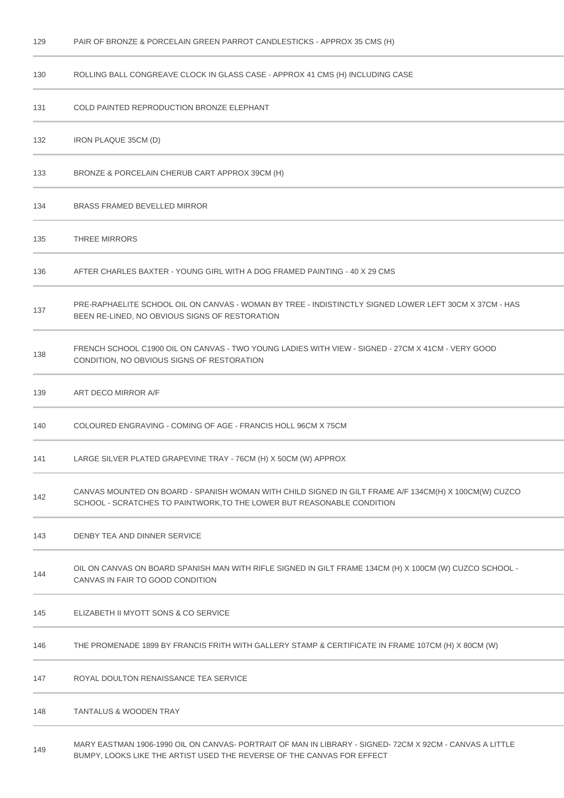| 129 | PAIR OF BRONZE & PORCELAIN GREEN PARROT CANDLESTICKS - APPROX 35 CMS (H)                                                                                                        |
|-----|---------------------------------------------------------------------------------------------------------------------------------------------------------------------------------|
| 130 | ROLLING BALL CONGREAVE CLOCK IN GLASS CASE - APPROX 41 CMS (H) INCLUDING CASE                                                                                                   |
| 131 | COLD PAINTED REPRODUCTION BRONZE ELEPHANT                                                                                                                                       |
| 132 | IRON PLAQUE 35CM (D)                                                                                                                                                            |
| 133 | BRONZE & PORCELAIN CHERUB CART APPROX 39CM (H)                                                                                                                                  |
| 134 | <b>BRASS FRAMED BEVELLED MIRROR</b>                                                                                                                                             |
| 135 | <b>THREE MIRRORS</b>                                                                                                                                                            |
| 136 | AFTER CHARLES BAXTER - YOUNG GIRL WITH A DOG FRAMED PAINTING - 40 X 29 CMS                                                                                                      |
| 137 | PRE-RAPHAELITE SCHOOL OIL ON CANVAS - WOMAN BY TREE - INDISTINCTLY SIGNED LOWER LEFT 30CM X 37CM - HAS<br>BEEN RE-LINED, NO OBVIOUS SIGNS OF RESTORATION                        |
| 138 | FRENCH SCHOOL C1900 OIL ON CANVAS - TWO YOUNG LADIES WITH VIEW - SIGNED - 27CM X 41CM - VERY GOOD<br>CONDITION, NO OBVIOUS SIGNS OF RESTORATION                                 |
| 139 | ART DECO MIRROR A/F                                                                                                                                                             |
| 140 | COLOURED ENGRAVING - COMING OF AGE - FRANCIS HOLL 96CM X 75CM                                                                                                                   |
| 141 | LARGE SILVER PLATED GRAPEVINE TRAY - 76CM (H) X 50CM (W) APPROX                                                                                                                 |
| 142 | CANVAS MOUNTED ON BOARD - SPANISH WOMAN WITH CHILD SIGNED IN GILT FRAME A/F 134CM(H) X 100CM(W) CUZCO<br>SCHOOL - SCRATCHES TO PAINTWORK, TO THE LOWER BUT REASONABLE CONDITION |
| 143 | DENBY TEA AND DINNER SERVICE                                                                                                                                                    |
| 144 | OIL ON CANVAS ON BOARD SPANISH MAN WITH RIFLE SIGNED IN GILT FRAME 134CM (H) X 100CM (W) CUZCO SCHOOL -<br>CANVAS IN FAIR TO GOOD CONDITION                                     |
| 145 | ELIZABETH II MYOTT SONS & CO SERVICE                                                                                                                                            |
| 146 | THE PROMENADE 1899 BY FRANCIS FRITH WITH GALLERY STAMP & CERTIFICATE IN FRAME 107CM (H) X 80CM (W)                                                                              |
| 147 | ROYAL DOULTON RENAISSANCE TEA SERVICE                                                                                                                                           |
| 148 | <b>TANTALUS &amp; WOODEN TRAY</b>                                                                                                                                               |

 MARY EASTMAN 1906-1990 OIL ON CANVAS- PORTRAIT OF MAN IN LIBRARY - SIGNED- 72CM X 92CM - CANVAS A LITTLE BUMPY, LOOKS LIKE THE ARTIST USED THE REVERSE OF THE CANVAS FOR EFFECT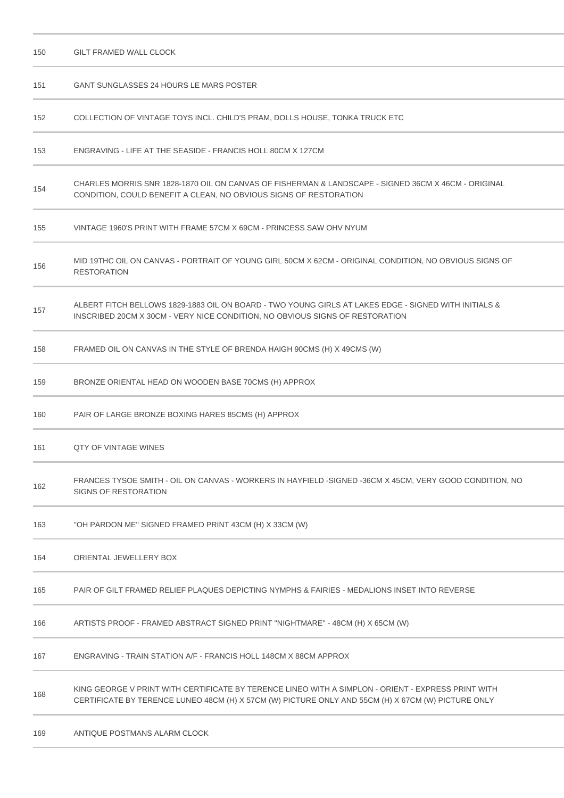| 150 | <b>GILT FRAMED WALL CLOCK</b>                                                                                                                                                                            |
|-----|----------------------------------------------------------------------------------------------------------------------------------------------------------------------------------------------------------|
| 151 | GANT SUNGLASSES 24 HOURS LE MARS POSTER                                                                                                                                                                  |
| 152 | COLLECTION OF VINTAGE TOYS INCL. CHILD'S PRAM, DOLLS HOUSE, TONKA TRUCK ETC                                                                                                                              |
| 153 | ENGRAVING - LIFE AT THE SEASIDE - FRANCIS HOLL 80CM X 127CM                                                                                                                                              |
| 154 | CHARLES MORRIS SNR 1828-1870 OIL ON CANVAS OF FISHERMAN & LANDSCAPE - SIGNED 36CM X 46CM - ORIGINAL<br>CONDITION, COULD BENEFIT A CLEAN, NO OBVIOUS SIGNS OF RESTORATION                                 |
| 155 | VINTAGE 1960'S PRINT WITH FRAME 57CM X 69CM - PRINCESS SAW OHV NYUM                                                                                                                                      |
| 156 | MID 19THC OIL ON CANVAS - PORTRAIT OF YOUNG GIRL 50CM X 62CM - ORIGINAL CONDITION, NO OBVIOUS SIGNS OF<br><b>RESTORATION</b>                                                                             |
| 157 | & ALBERT FITCH BELLOWS 1829-1883 OIL ON BOARD - TWO YOUNG GIRLS AT LAKES EDGE - SIGNED WITH INITIALS<br>INSCRIBED 20CM X 30CM - VERY NICE CONDITION, NO OBVIOUS SIGNS OF RESTORATION                     |
| 158 | FRAMED OIL ON CANVAS IN THE STYLE OF BRENDA HAIGH 90CMS (H) X 49CMS (W)                                                                                                                                  |
| 159 | BRONZE ORIENTAL HEAD ON WOODEN BASE 70CMS (H) APPROX                                                                                                                                                     |
| 160 | PAIR OF LARGE BRONZE BOXING HARES 85CMS (H) APPROX                                                                                                                                                       |
| 161 | <b>QTY OF VINTAGE WINES</b>                                                                                                                                                                              |
| 162 | FRANCES TYSOE SMITH - OIL ON CANVAS - WORKERS IN HAYFIELD -SIGNED -36CM X 45CM, VERY GOOD CONDITION, NO<br>SIGNS OF RESTORATION                                                                          |
| 163 | "OH PARDON ME" SIGNED FRAMED PRINT 43CM (H) X 33CM (W)                                                                                                                                                   |
| 164 | ORIENTAL JEWELLERY BOX                                                                                                                                                                                   |
| 165 | PAIR OF GILT FRAMED RELIEF PLAQUES DEPICTING NYMPHS & FAIRIES - MEDALIONS INSET INTO REVERSE                                                                                                             |
| 166 | ARTISTS PROOF - FRAMED ABSTRACT SIGNED PRINT "NIGHTMARE" - 48CM (H) X 65CM (W)                                                                                                                           |
| 167 | ENGRAVING - TRAIN STATION A/F - FRANCIS HOLL 148CM X 88CM APPROX                                                                                                                                         |
| 168 | KING GEORGE V PRINT WITH CERTIFICATE BY TERENCE LINEO WITH A SIMPLON - ORIENT - EXPRESS PRINT WITH<br>CERTIFICATE BY TERENCE LUNEO 48CM (H) X 57CM (W) PICTURE ONLY AND 55CM (H) X 67CM (W) PICTURE ONLY |
| 169 | ANTIQUE POSTMANS ALARM CLOCK                                                                                                                                                                             |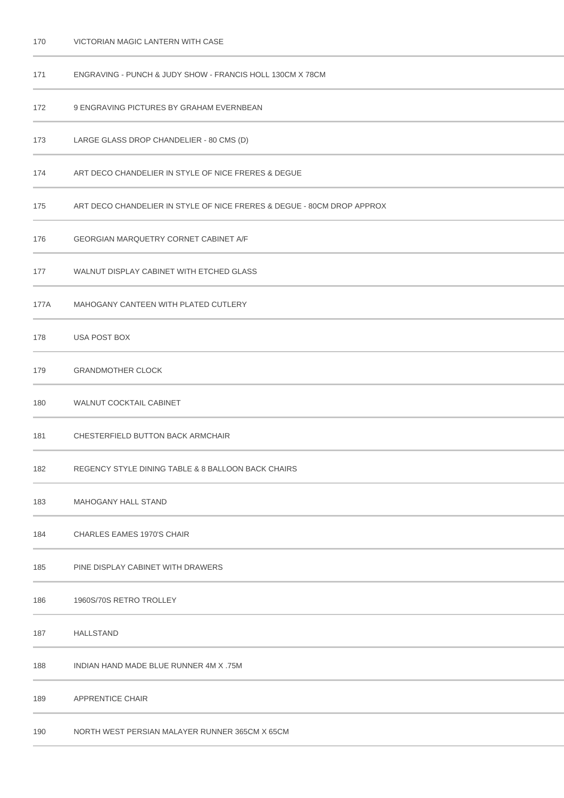| 171  | ENGRAVING - PUNCH & JUDY SHOW - FRANCIS HOLL 130CM X 78CM              |
|------|------------------------------------------------------------------------|
| 172  | 9 ENGRAVING PICTURES BY GRAHAM EVERNBEAN                               |
| 173  | LARGE GLASS DROP CHANDELIER - 80 CMS (D)                               |
| 174  | ART DECO CHANDELIER IN STYLE OF NICE FRERES & DEGUE                    |
| 175  | ART DECO CHANDELIER IN STYLE OF NICE FRERES & DEGUE - 80CM DROP APPROX |
| 176  | <b>GEORGIAN MARQUETRY CORNET CABINET A/F</b>                           |
| 177  | WALNUT DISPLAY CABINET WITH ETCHED GLASS                               |
| 177A | MAHOGANY CANTEEN WITH PLATED CUTLERY                                   |
| 178  | USA POST BOX                                                           |
| 179  | <b>GRANDMOTHER CLOCK</b>                                               |
| 180  | WALNUT COCKTAIL CABINET                                                |
| 181  | CHESTERFIELD BUTTON BACK ARMCHAIR                                      |
| 182  | REGENCY STYLE DINING TABLE & 8 BALLOON BACK CHAIRS                     |
| 183  | <b>MAHOGANY HALL STAND</b>                                             |
| 184  | <b>CHARLES EAMES 1970'S CHAIR</b>                                      |
| 185  | PINE DISPLAY CABINET WITH DRAWERS                                      |
| 186  | 1960S/70S RETRO TROLLEY                                                |
| 187  | <b>HALLSTAND</b>                                                       |
| 188  | INDIAN HAND MADE BLUE RUNNER 4M X .75M                                 |
| 189  | APPRENTICE CHAIR                                                       |
| 190  | NORTH WEST PERSIAN MALAYER RUNNER 365CM X 65CM                         |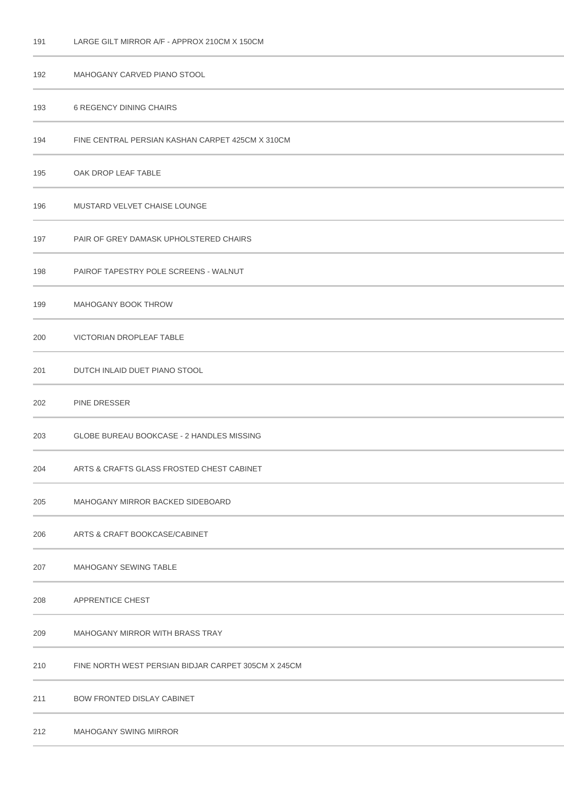## LARGE GILT MIRROR A/F - APPROX 210CM X 150CM

| 192 | MAHOGANY CARVED PIANO STOOL                         |
|-----|-----------------------------------------------------|
| 193 | <b>6 REGENCY DINING CHAIRS</b>                      |
| 194 | FINE CENTRAL PERSIAN KASHAN CARPET 425CM X 310CM    |
| 195 | OAK DROP LEAF TABLE                                 |
| 196 | MUSTARD VELVET CHAISE LOUNGE                        |
| 197 | PAIR OF GREY DAMASK UPHOLSTERED CHAIRS              |
| 198 | PAIROF TAPESTRY POLE SCREENS - WALNUT               |
| 199 | MAHOGANY BOOK THROW                                 |
| 200 | VICTORIAN DROPLEAF TABLE                            |
| 201 | DUTCH INLAID DUET PIANO STOOL                       |
| 202 | <b>PINE DRESSER</b>                                 |
| 203 | GLOBE BUREAU BOOKCASE - 2 HANDLES MISSING           |
| 204 | ARTS & CRAFTS GLASS FROSTED CHEST CABINET           |
| 205 | MAHOGANY MIRROR BACKED SIDEBOARD                    |
| 206 | ARTS & CRAFT BOOKCASE/CABINET                       |
| 207 | MAHOGANY SEWING TABLE                               |
| 208 | APPRENTICE CHEST                                    |
| 209 | MAHOGANY MIRROR WITH BRASS TRAY                     |
| 210 | FINE NORTH WEST PERSIAN BIDJAR CARPET 305CM X 245CM |
| 211 | <b>BOW FRONTED DISLAY CABINET</b>                   |
| 212 | MAHOGANY SWING MIRROR                               |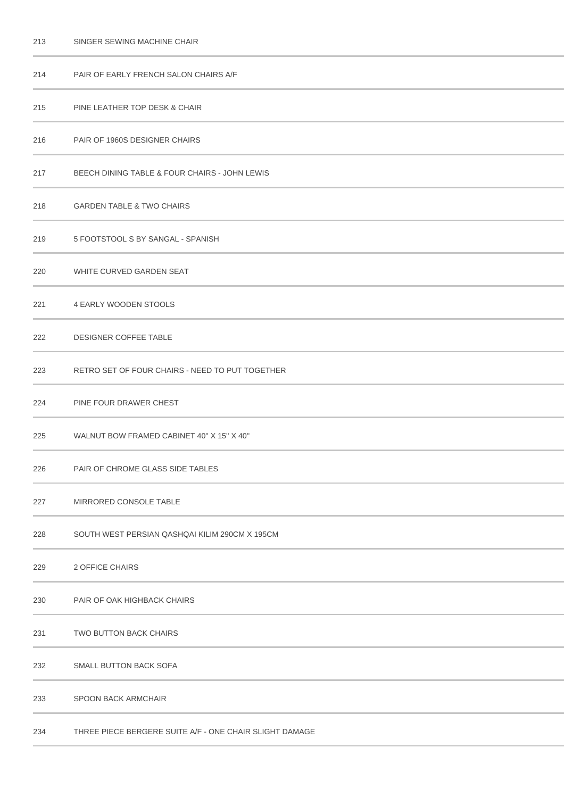| 213 | SINGER SEWING MACHINE CHAIR                             |
|-----|---------------------------------------------------------|
| 214 | PAIR OF EARLY FRENCH SALON CHAIRS A/F                   |
| 215 | PINE LEATHER TOP DESK & CHAIR                           |
| 216 | PAIR OF 1960S DESIGNER CHAIRS                           |
| 217 | BEECH DINING TABLE & FOUR CHAIRS - JOHN LEWIS           |
| 218 | <b>GARDEN TABLE &amp; TWO CHAIRS</b>                    |
| 219 | 5 FOOTSTOOL S BY SANGAL - SPANISH                       |
| 220 | WHITE CURVED GARDEN SEAT                                |
| 221 | 4 EARLY WOODEN STOOLS                                   |
| 222 | DESIGNER COFFEE TABLE                                   |
| 223 | RETRO SET OF FOUR CHAIRS - NEED TO PUT TOGETHER         |
| 224 | PINE FOUR DRAWER CHEST                                  |
| 225 | WALNUT BOW FRAMED CABINET 40" X 15" X 40"               |
| 226 | PAIR OF CHROME GLASS SIDE TABLES                        |
| 227 | MIRRORED CONSOLE TABLE                                  |
| 228 | SOUTH WEST PERSIAN QASHQAI KILIM 290CM X 195CM          |
| 229 | 2 OFFICE CHAIRS                                         |
| 230 | PAIR OF OAK HIGHBACK CHAIRS                             |
| 231 | TWO BUTTON BACK CHAIRS                                  |
| 232 | SMALL BUTTON BACK SOFA                                  |
| 233 | <b>SPOON BACK ARMCHAIR</b>                              |
| 234 | THREE PIECE BERGERE SUITE A/F - ONE CHAIR SLIGHT DAMAGE |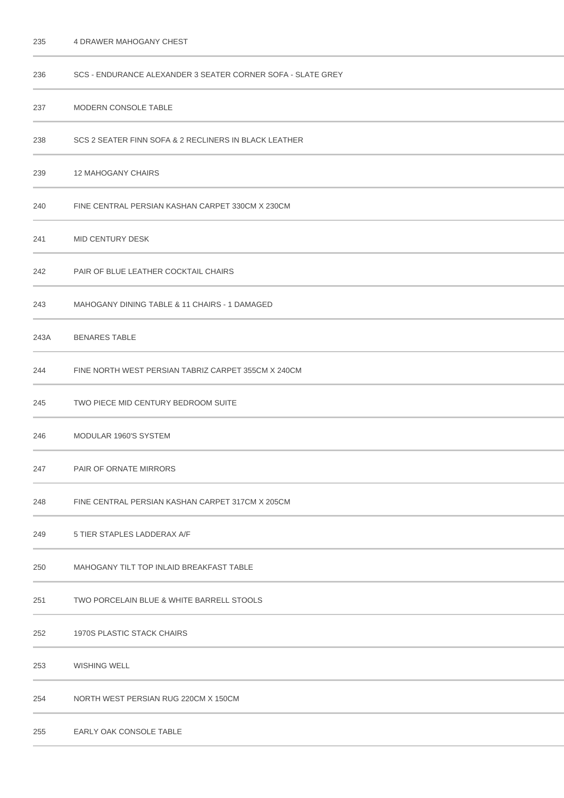| 236  | SCS - ENDURANCE ALEXANDER 3 SEATER CORNER SOFA - SLATE GREY |
|------|-------------------------------------------------------------|
| 237  | MODERN CONSOLE TABLE                                        |
| 238  | SCS 2 SEATER FINN SOFA & 2 RECLINERS IN BLACK LEATHER       |
| 239  | <b>12 MAHOGANY CHAIRS</b>                                   |
| 240  | FINE CENTRAL PERSIAN KASHAN CARPET 330CM X 230CM            |
| 241  | <b>MID CENTURY DESK</b>                                     |
| 242  | PAIR OF BLUE LEATHER COCKTAIL CHAIRS                        |
| 243  | MAHOGANY DINING TABLE & 11 CHAIRS - 1 DAMAGED               |
| 243A | <b>BENARES TABLE</b>                                        |
| 244  | FINE NORTH WEST PERSIAN TABRIZ CARPET 355CM X 240CM         |
| 245  | TWO PIECE MID CENTURY BEDROOM SUITE                         |
| 246  | MODULAR 1960'S SYSTEM                                       |
| 247  | <b>PAIR OF ORNATE MIRRORS</b>                               |
| 248  | FINE CENTRAL PERSIAN KASHAN CARPET 317CM X 205CM            |
| 249  | 5 TIER STAPLES LADDERAX A/F                                 |
| 250  | MAHOGANY TILT TOP INLAID BREAKFAST TABLE                    |
| 251  | TWO PORCELAIN BLUE & WHITE BARRELL STOOLS                   |
| 252  | 1970S PLASTIC STACK CHAIRS                                  |
| 253  | <b>WISHING WELL</b>                                         |
| 254  | NORTH WEST PERSIAN RUG 220CM X 150CM                        |
| 255  | EARLY OAK CONSOLE TABLE                                     |

4 DRAWER MAHOGANY CHEST